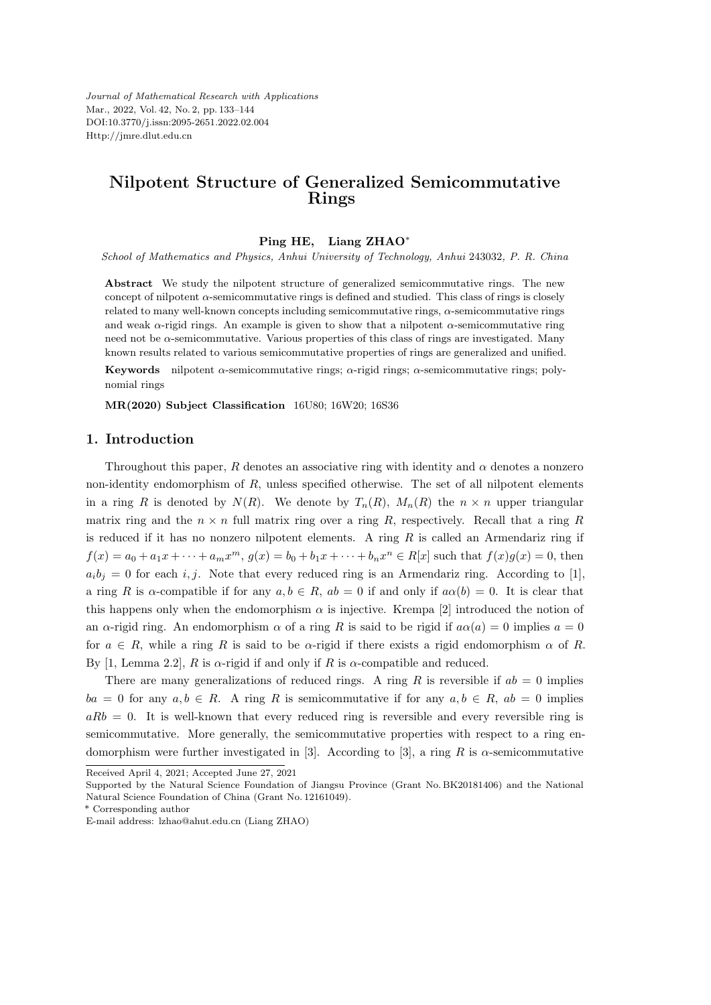*Journal of Mathematical Research with Applications* Mar., 2022, Vol. 42, No. 2, pp. 133–144 DOI:10.3770/j.issn:2095-2651.2022.02.004 Http://jmre.dlut.edu.cn

# **Nilpotent Structure of Generalized Semicommutative Rings**

#### **Ping HE, Liang ZHAO***<sup>∗</sup>*

*School of Mathematics and Physics, Anhui University of Technology, Anhui* 243032*, P. R. China*

**Abstract** We study the nilpotent structure of generalized semicommutative rings. The new concept of nilpotent *α*-semicommutative rings is defined and studied. This class of rings is closely related to many well-known concepts including semicommutative rings, *α*-semicommutative rings and weak  $\alpha$ -rigid rings. An example is given to show that a nilpotent  $\alpha$ -semicommutative ring need not be *α*-semicommutative. Various properties of this class of rings are investigated. Many known results related to various semicommutative properties of rings are generalized and unified.

**Keywords** nilpotent *α*-semicommutative rings; *α*-rigid rings; *α*-semicommutative rings; polynomial rings

**MR(2020) Subject Classification** 16U80; 16W20; 16S36

#### **1. Introduction**

Throughout this paper, *R* denotes an associative ring with identity and  $\alpha$  denotes a nonzero non-identity endomorphism of *R*, unless specified otherwise. The set of all nilpotent elements in a ring *R* is denoted by  $N(R)$ . We denote by  $T_n(R)$ ,  $M_n(R)$  the  $n \times n$  upper triangular matrix ring and the  $n \times n$  full matrix ring over a ring *R*, respectively. Recall that a ring *R* is reduced if it has no nonzero nilpotent elements. A ring *R* is called an Armendariz ring if  $f(x) = a_0 + a_1x + \dots + a_mx^m$ ,  $g(x) = b_0 + b_1x + \dots + b_nx^n \in R[x]$  such that  $f(x)g(x) = 0$ , then  $a_i b_j = 0$  for each *i, j*. Note that every reduced ring is an Armendariz ring. According to [1], a ring *R* is  $\alpha$ -compatible if for any  $a, b \in R$ ,  $ab = 0$  if and only if  $a\alpha(b) = 0$ . It is clear that this happens only when the endomorphism  $\alpha$  is injective. Krempa [2] introduced the notion of an *α*-rigid ring. An endomorphism  $\alpha$  of a ring *R* is said to be rigid if  $a\alpha(a) = 0$  implies  $a = 0$ for  $a \in R$ , while a ring R is said to be  $\alpha$ -rigid if there exists a rigid endomorphism  $\alpha$  of R. By [1, Lemma 2.2], *R* is  $\alpha$ -rigid if and only if *R* is  $\alpha$ -compatible and reduced.

There are many generalizations of reduced rings. A ring  $R$  is reversible if  $ab = 0$  implies *ba* = 0 for any  $a, b \in R$ . A ring *R* is semicommutative if for any  $a, b \in R$ ,  $ab = 0$  implies  $aRb = 0$ . It is well-known that every reduced ring is reversible and every reversible ring is semicommutative. More generally, the semicommutative properties with respect to a ring endomorphism were further investigated in [3]. According to [3], a ring *R* is *α*-semicommutative

Received April 4, 2021; Accepted June 27, 2021

Supported by the Natural Science Foundation of Jiangsu Province (Grant No. BK20181406) and the National Natural Science Foundation of China (Grant No. 12161049).

<sup>\*</sup> Corresponding author

E-mail address: lzhao@ahut.edu.cn (Liang ZHAO)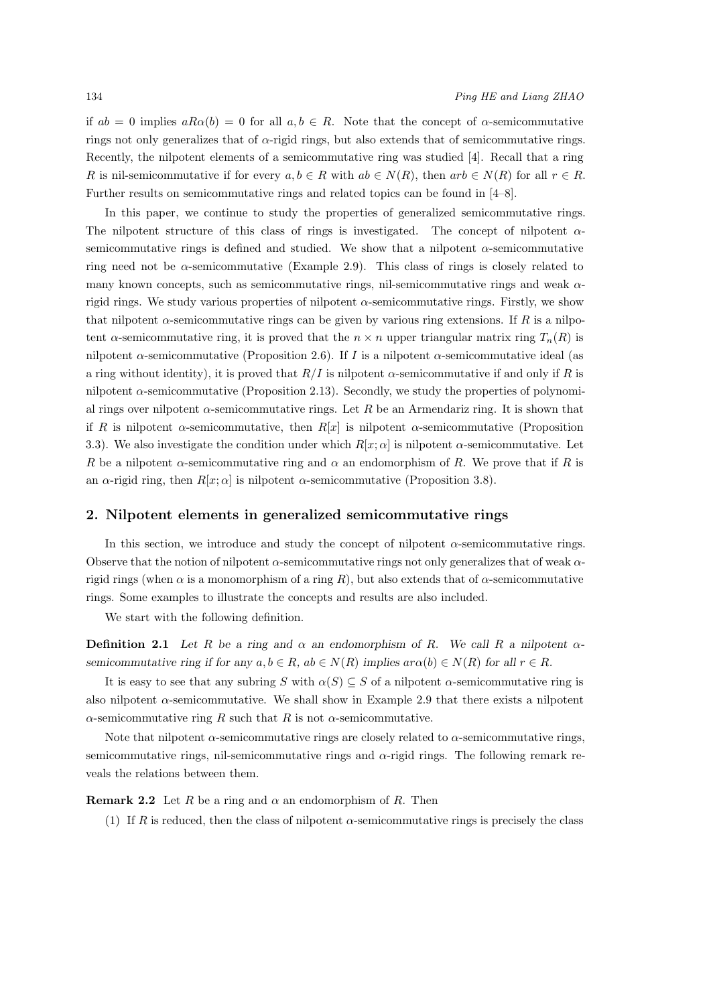if  $ab = 0$  implies  $aRa(b) = 0$  for all  $a, b \in R$ . Note that the concept of  $\alpha$ -semicommutative rings not only generalizes that of *α*-rigid rings, but also extends that of semicommutative rings. Recently, the nilpotent elements of a semicommutative ring was studied [4]. Recall that a ring *R* is nil-semicommutative if for every  $a, b \in R$  with  $ab \in N(R)$ , then  $arb \in N(R)$  for all  $r \in R$ . Further results on semicommutative rings and related topics can be found in [4–8].

In this paper, we continue to study the properties of generalized semicommutative rings. The nilpotent structure of this class of rings is investigated. The concept of nilpotent *α*semicommutative rings is defined and studied. We show that a nilpotent  $\alpha$ -semicommutative ring need not be *α*-semicommutative (Example 2.9). This class of rings is closely related to many known concepts, such as semicommutative rings, nil-semicommutative rings and weak *α*rigid rings. We study various properties of nilpotent *α*-semicommutative rings. Firstly, we show that nilpotent  $\alpha$ -semicommutative rings can be given by various ring extensions. If *R* is a nilpotent *α*-semicommutative ring, it is proved that the  $n \times n$  upper triangular matrix ring  $T_n(R)$  is nilpotent *α*-semicommutative (Proposition 2.6). If *I* is a nilpotent *α*-semicommutative ideal (as a ring without identity), it is proved that *R/I* is nilpotent *α*-semicommutative if and only if *R* is nilpotent  $\alpha$ -semicommutative (Proposition 2.13). Secondly, we study the properties of polynomial rings over nilpotent *α*-semicommutative rings. Let *R* be an Armendariz ring. It is shown that if *R* is nilpotent *α*-semicommutative, then  $R[x]$  is nilpotent *α*-semicommutative (Proposition 3.3). We also investigate the condition under which  $R[x; \alpha]$  is nilpotent *α*-semicommutative. Let *R* be a nilpotent *α*-semicommutative ring and  $\alpha$  an endomorphism of *R*. We prove that if *R* is an *α*-rigid ring, then  $R[x; \alpha]$  is nilpotent *α*-semicommutative (Proposition 3.8).

### **2. Nilpotent elements in generalized semicommutative rings**

In this section, we introduce and study the concept of nilpotent *α*-semicommutative rings. Observe that the notion of nilpotent *α*-semicommutative rings not only generalizes that of weak *α*rigid rings (when  $\alpha$  is a monomorphism of a ring *R*), but also extends that of  $\alpha$ -semicommutative rings. Some examples to illustrate the concepts and results are also included.

We start with the following definition.

**Definition 2.1** Let  $R$  be a ring and  $\alpha$  an endomorphism of  $R$ . We call  $R$  a nilpotent  $\alpha$ semicommutative ring if for any  $a, b \in R$ ,  $ab \in N(R)$  implies  $ar \alpha(b) \in N(R)$  for all  $r \in R$ .

It is easy to see that any subring *S* with  $\alpha(S) \subseteq S$  of a nilpotent  $\alpha$ -semicommutative ring is also nilpotent  $\alpha$ -semicommutative. We shall show in Example 2.9 that there exists a nilpotent *α*-semicommutative ring *R* such that *R* is not *α*-semicommutative.

Note that nilpotent  $\alpha$ -semicommutative rings are closely related to  $\alpha$ -semicommutative rings, semicommutative rings, nil-semicommutative rings and *α*-rigid rings. The following remark reveals the relations between them.

**Remark 2.2** Let *R* be a ring and  $\alpha$  an endomorphism of *R*. Then

(1) If *R* is reduced, then the class of nilpotent  $\alpha$ -semicommutative rings is precisely the class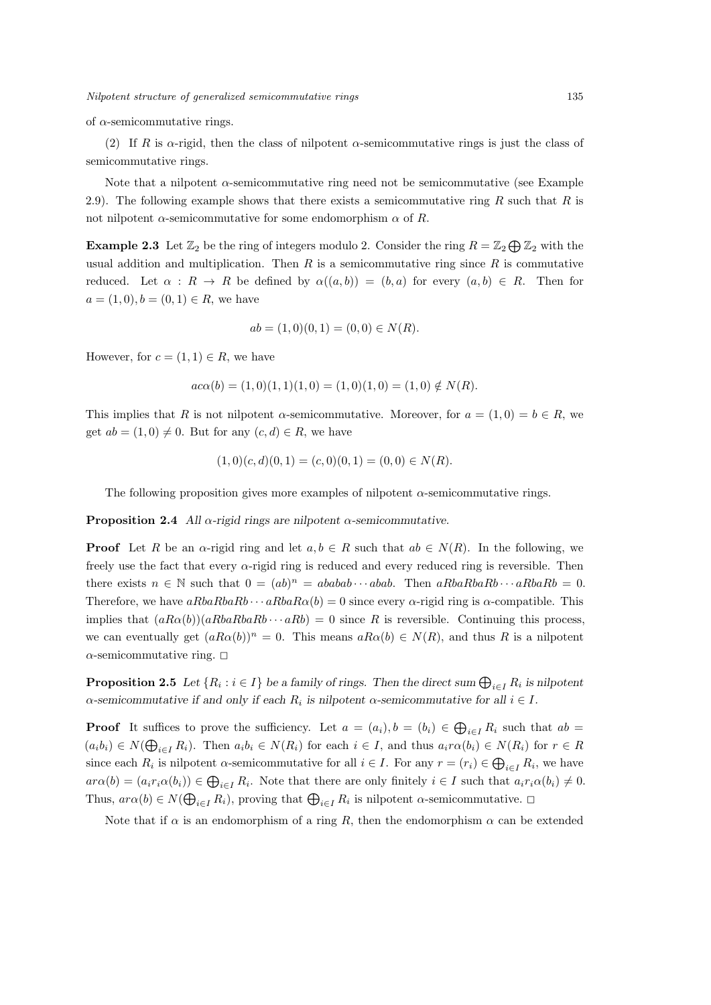of *α*-semicommutative rings.

(2) If *R* is  $\alpha$ -rigid, then the class of nilpotent  $\alpha$ -semicommutative rings is just the class of semicommutative rings.

Note that a nilpotent  $\alpha$ -semicommutative ring need not be semicommutative (see Example 2.9). The following example shows that there exists a semicommutative ring *R* such that *R* is not nilpotent *α*-semicommutative for some endomorphism *α* of *R*.

**Example 2.3** Let  $\mathbb{Z}_2$  be the ring of integers modulo 2. Consider the ring  $R = \mathbb{Z}_2 \bigoplus \mathbb{Z}_2$  with the usual addition and multiplication. Then *R* is a semicommutative ring since *R* is commutative reduced. Let  $\alpha$  :  $R \to R$  be defined by  $\alpha((a, b)) = (b, a)$  for every  $(a, b) \in R$ . Then for  $a = (1, 0), b = (0, 1) \in R$ , we have

$$
ab = (1,0)(0,1) = (0,0) \in N(R).
$$

However, for  $c = (1, 1) \in R$ , we have

$$
aca(b) = (1,0)(1,1)(1,0) = (1,0)(1,0) = (1,0) \notin N(R).
$$

This implies that *R* is not nilpotent *α*-semicommutative. Moreover, for  $a = (1,0) = b \in R$ , we get  $ab = (1,0) \neq 0$ . But for any  $(c,d) \in R$ , we have

$$
(1,0)(c,d)(0,1) = (c,0)(0,1) = (0,0) \in N(R).
$$

The following proposition gives more examples of nilpotent *α*-semicommutative rings.

**Proposition 2.4** *All*  $\alpha$ -rigid rings are nilpotent  $\alpha$ -semicommutative.

**Proof** Let *R* be an *α*-rigid ring and let  $a, b \in R$  such that  $ab \in N(R)$ . In the following, we freely use the fact that every *α*-rigid ring is reduced and every reduced ring is reversible. Then there exists  $n \in \mathbb{N}$  such that  $0 = (ab)^n = ababab \cdots abab$ . Then  $aRbaRbaRb \cdots aRbaRb = 0$ . Therefore, we have  $aRbaRbaRb \cdots aRbaR\alpha(b) = 0$  since every *α*-rigid ring is *α*-compatible. This implies that  $(aRa\alpha(b))(aRbaRb\cdots aRb) = 0$  since *R* is reversible. Continuing this process, we can eventually get  $(aR\alpha(b))^n = 0$ . This means  $aR\alpha(b) \in N(R)$ , and thus R is a nilpotent  $\alpha$ -semicommutative ring.  $\square$ 

**Proposition 2.5** *Let*  $\{R_i : i \in I\}$  *be a family of rings. Then the direct sum*  $\bigoplus_{i \in I} R_i$  *is nilpotent α*-semicommutative if and only if each  $R_i$  is nilpotent  $\alpha$ -semicommutative for all  $i \in I$ .

**Proof** It suffices to prove the sufficiency. Let  $a = (a_i), b = (b_i) \in \bigoplus_{i \in I} R_i$  such that  $ab =$  $(a_i b_i) \in N(\bigoplus_{i \in I} R_i)$ . Then  $a_i b_i \in N(R_i)$  for each  $i \in I$ , and thus  $a_i r \alpha(b_i) \in N(R_i)$  for  $r \in R$ since each  $R_i$  is nilpotent  $\alpha$ -semicommutative for all  $i \in I$ . For any  $r = (r_i) \in \bigoplus_{i \in I} R_i$ , we have  $ar\alpha(b) = (a_i r_i \alpha(b_i)) \in \bigoplus_{i \in I} R_i$ . Note that there are only finitely  $i \in I$  such that  $a_i r_i \alpha(b_i) \neq 0$ . Thus,  $ar\alpha(b) \in N(\bigoplus_{i \in I} R_i)$ , proving that  $\bigoplus_{i \in I} R_i$  is nilpotent  $\alpha$ -semicommutative.  $\Box$ 

Note that if  $\alpha$  is an endomorphism of a ring R, then the endomorphism  $\alpha$  can be extended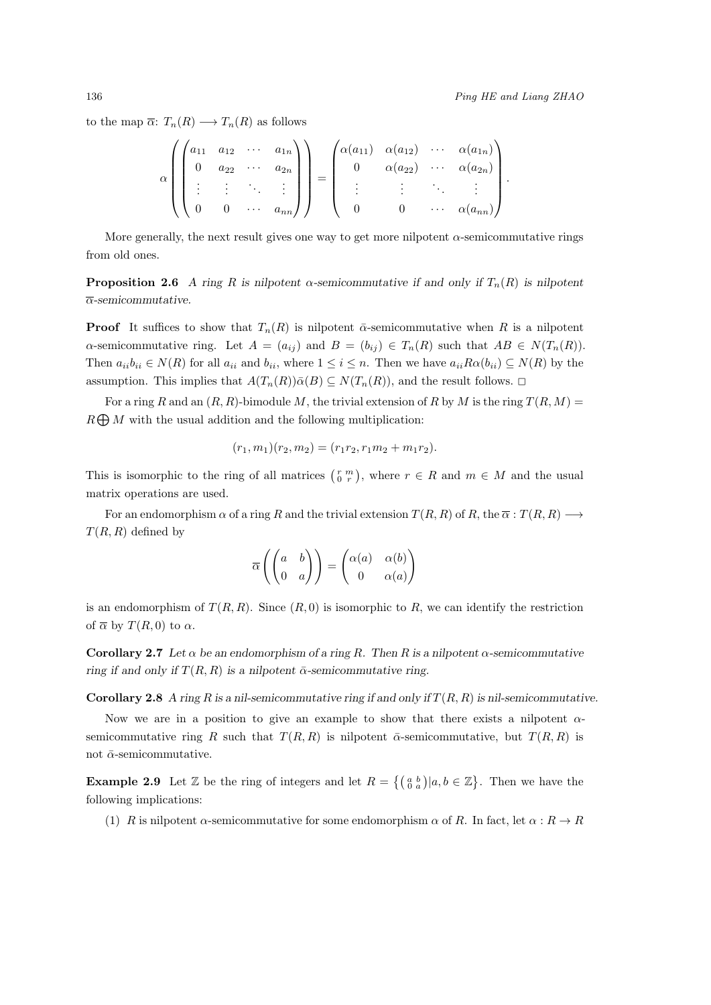to the map  $\overline{\alpha}$ :  $T_n(R) \longrightarrow T_n(R)$  as follows

$$
\alpha \left( \begin{pmatrix} a_{11} & a_{12} & \cdots & a_{1n} \\ 0 & a_{22} & \cdots & a_{2n} \\ \vdots & \vdots & \ddots & \vdots \\ 0 & 0 & \cdots & a_{nn} \end{pmatrix} \right) = \begin{pmatrix} \alpha(a_{11}) & \alpha(a_{12}) & \cdots & \alpha(a_{1n}) \\ 0 & \alpha(a_{22}) & \cdots & \alpha(a_{2n}) \\ \vdots & \vdots & \ddots & \vdots \\ 0 & 0 & \cdots & \alpha(a_{nn}) \end{pmatrix}.
$$

More generally, the next result gives one way to get more nilpotent *α*-semicommutative rings from old ones.

**Proposition 2.6** *A ring R* is nilpotent  $\alpha$ -semicommutative if and only if  $T_n(R)$  is nilpotent *α-semicommutative.*

**Proof** It suffices to show that  $T_n(R)$  is nilpotent  $\bar{\alpha}$ -semicommutative when R is a nilpotent *a*-semicommutative ring. Let  $A = (a_{ij})$  and  $B = (b_{ij}) \in T_n(R)$  such that  $AB \in N(T_n(R))$ . Then  $a_{ii}b_{ii} \in N(R)$  for all  $a_{ii}$  and  $b_{ii}$ , where  $1 \leq i \leq n$ . Then we have  $a_{ii}R\alpha(b_{ii}) \subseteq N(R)$  by the assumption. This implies that  $A(T_n(R))\overline{\alpha}(B) \subseteq N(T_n(R))$ , and the result follows.  $\square$ 

For a ring *R* and an  $(R, R)$ -bimodule *M*, the trivial extension of *R* by *M* is the ring  $T(R, M)$  = *R* ⊕ *M* with the usual addition and the following multiplication:

$$
(r_1, m_1)(r_2, m_2) = (r_1r_2, r_1m_2 + m_1r_2).
$$

This is isomorphic to the ring of all matrices  $\begin{pmatrix} r & m \\ 0 & r \end{pmatrix}$ , where  $r \in R$  and  $m \in M$  and the usual matrix operations are used.

For an endomorphism  $\alpha$  of a ring  $R$  and the trivial extension  $T(R, R)$  of  $R$ , the  $\overline{\alpha}: T(R, R) \longrightarrow$ *T*(*R, R*) defined by

$$
\overline{\alpha}\left(\begin{pmatrix}a&b\\0&a\end{pmatrix}\right)=\begin{pmatrix}\alpha(a)&\alpha(b)\\0&\alpha(a)\end{pmatrix}
$$

is an endomorphism of  $T(R, R)$ . Since  $(R, 0)$  is isomorphic to R, we can identify the restriction of  $\overline{\alpha}$  by  $T(R, 0)$  to  $\alpha$ .

**Corollary 2.7** Let  $\alpha$  be an endomorphism of a ring R. Then R is a nilpotent  $\alpha$ -semicommutative *ring if and only if*  $T(R, R)$  *is a nilpotent*  $\bar{\alpha}$ -semicommutative ring.

**Corollary 2.8** *A ring*  $R$  *is a nil-semicommutative ring if and only if*  $T(R, R)$  *is nil-semicommutative.* 

Now we are in a position to give an example to show that there exists a nilpotent *α*semicommutative ring *R* such that  $T(R, R)$  is nilpotent  $\bar{\alpha}$ -semicommutative, but  $T(R, R)$  is not  $\bar{\alpha}$ -semicommutative.

**Example 2.9** Let  $\mathbb{Z}$  be the ring of integers and let  $R = \{(\begin{smallmatrix} a & b \\ 0 & a \end{smallmatrix}) | a, b \in \mathbb{Z}\}$ . Then we have the following implications:

(1) *R* is nilpotent *α*-semicommutative for some endomorphism  $\alpha$  of *R*. In fact, let  $\alpha$  :  $R \to R$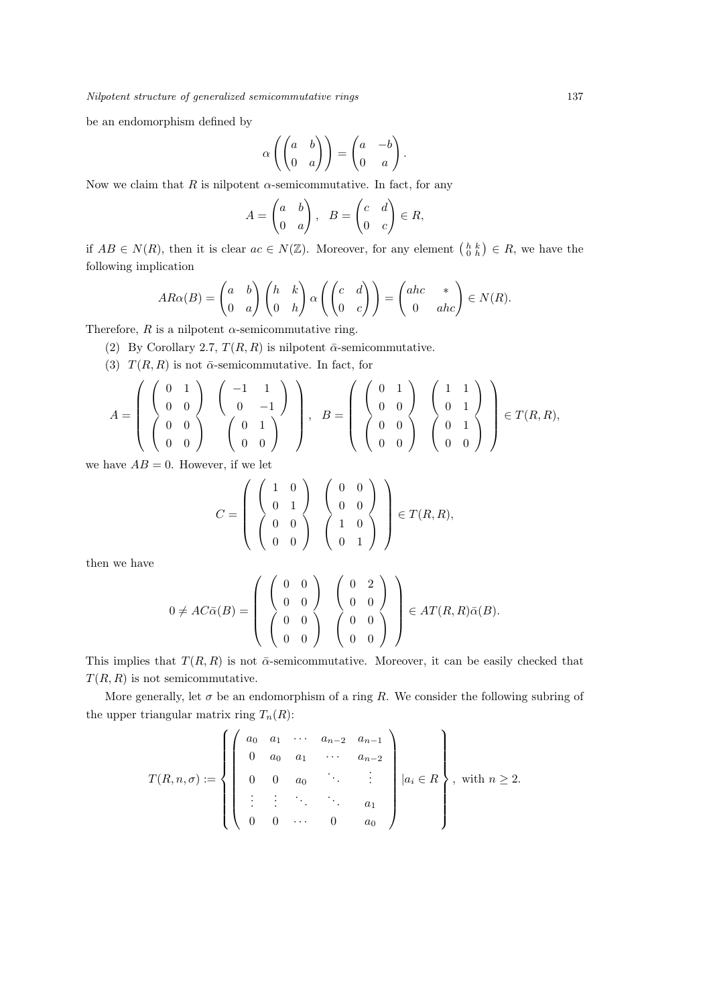be an endomorphism defined by

$$
\alpha \left( \begin{pmatrix} a & b \\ 0 & a \end{pmatrix} \right) = \begin{pmatrix} a & -b \\ 0 & a \end{pmatrix}.
$$

Now we claim that  $R$  is nilpotent  $\alpha$ -semicommutative. In fact, for any

$$
A = \begin{pmatrix} a & b \\ 0 & a \end{pmatrix}, B = \begin{pmatrix} c & d \\ 0 & c \end{pmatrix} \in R,
$$

if  $AB \in N(R)$ , then it is clear  $ac \in N(\mathbb{Z})$ . Moreover, for any element  $\begin{pmatrix} h & k \\ 0 & h \end{pmatrix} \in R$ , we have the following implication

$$
AR\alpha(B) = \begin{pmatrix} a & b \\ 0 & a \end{pmatrix} \begin{pmatrix} h & k \\ 0 & h \end{pmatrix} \alpha \left( \begin{pmatrix} c & d \\ 0 & c \end{pmatrix} \right) = \begin{pmatrix} abc & * \\ 0 & abc \end{pmatrix} \in N(R).
$$

Therefore,  $R$  is a nilpotent  $\alpha$ -semicommutative ring.

(2) By Corollary 2.7,  $T(R, R)$  is nilpotent  $\bar{\alpha}$ -semicommutative.

(3)  $T(R, R)$  is not  $\bar{\alpha}$ -semicommutative. In fact, for

$$
A = \left( \begin{array}{cc} \left( \begin{array}{cc} 0 & 1 \\ 0 & 0 \end{array} \right) & \left( \begin{array}{cc} -1 & 1 \\ 0 & -1 \end{array} \right) \\ \left( \begin{array}{cc} 0 & 0 \\ 0 & 0 \end{array} \right) & \left( \begin{array}{cc} 0 & 1 \\ 0 & 1 \end{array} \right) \end{array} \right), \quad B = \left( \begin{array}{cc} \left( \begin{array}{cc} 0 & 1 \\ 0 & 0 \end{array} \right) & \left( \begin{array}{cc} 1 & 1 \\ 0 & 1 \end{array} \right) \\ \left( \begin{array}{cc} 0 & 1 \\ 0 & 0 \end{array} \right) & \left( \begin{array}{cc} 0 & 1 \\ 0 & 1 \end{array} \right) \end{array} \right) \in T(R, R),
$$

we have  $AB = 0$ . However, if we let

$$
C = \left( \begin{array}{cc} \left( \begin{array}{cc} 1 & 0 \\ 0 & 1 \end{array} \right) & \left( \begin{array}{cc} 0 & 0 \\ 0 & 0 \end{array} \right) \\ \left( \begin{array}{cc} 0 & 0 \\ 0 & 0 \end{array} \right) & \left( \begin{array}{cc} 1 & 0 \\ 1 & 0 \end{array} \right) \end{array} \right) \in T(R,R),
$$

then we have

$$
0 \neq AC\bar{\alpha}(B) = \left( \begin{array}{cc} \left( \begin{array}{cc} 0 & 0 \\ 0 & 0 \end{array} \right) & \left( \begin{array}{cc} 0 & 2 \\ 0 & 0 \end{array} \right) \\ \left( \begin{array}{cc} 0 & 0 \\ 0 & 0 \end{array} \right) & \left( \begin{array}{cc} 0 & 2 \\ 0 & 0 \end{array} \right) \\ \left( \begin{array}{cc} 0 & 0 \\ 0 & 0 \end{array} \right) & \left( \begin{array}{cc} 0 & 0 \\ 0 & 0 \end{array} \right) \end{array} \right) \in AT(R,R)\bar{\alpha}(B).
$$

This implies that  $T(R, R)$  is not  $\bar{\alpha}$ -semicommutative. Moreover, it can be easily checked that *T*(*R, R*) is not semicommutative.

More generally, let  $\sigma$  be an endomorphism of a ring *R*. We consider the following subring of the upper triangular matrix ring  $T_n(R)$ :

$$
T(R, n, \sigma) := \left\{ \begin{pmatrix} a_0 & a_1 & \cdots & a_{n-2} & a_{n-1} \\ 0 & a_0 & a_1 & \cdots & a_{n-2} \\ 0 & 0 & a_0 & \ddots & \vdots \\ \vdots & \vdots & \ddots & \ddots & a_1 \\ 0 & 0 & \cdots & 0 & a_0 \end{pmatrix} \middle| a_i \in R \right\}, \text{ with } n \ge 2.
$$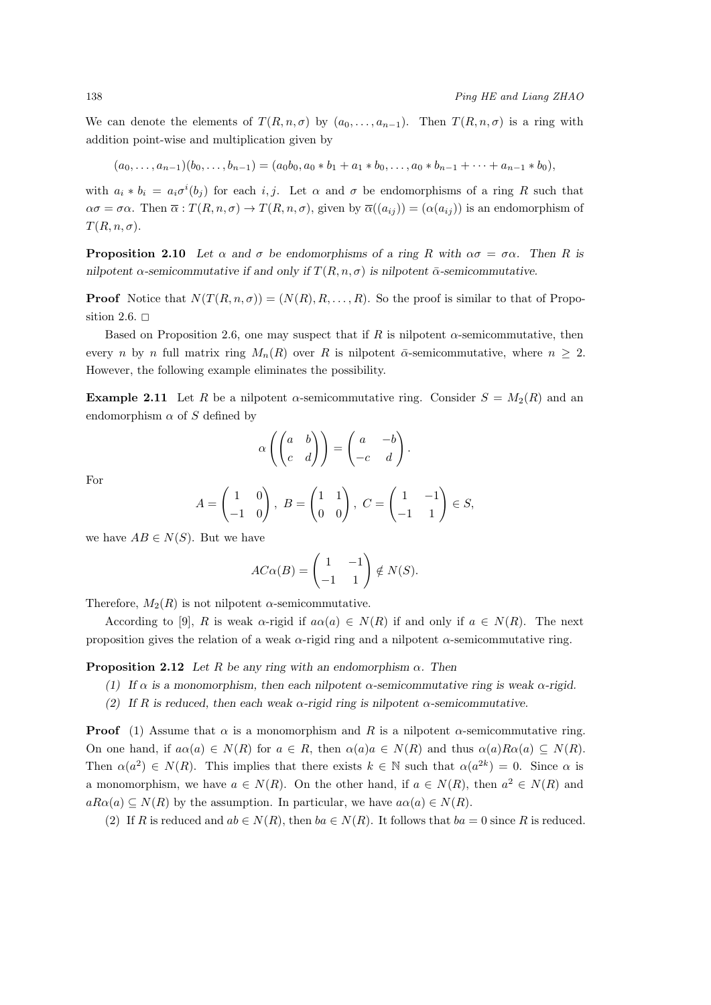We can denote the elements of  $T(R, n, \sigma)$  by  $(a_0, \ldots, a_{n-1})$ . Then  $T(R, n, \sigma)$  is a ring with addition point-wise and multiplication given by

$$
(a_0,\ldots,a_{n-1})(b_0,\ldots,b_{n-1})=(a_0b_0,a_0*b_1+a_1*b_0,\ldots,a_0*b_{n-1}+\cdots+a_{n-1}*b_0),
$$

with  $a_i * b_i = a_i \sigma^i(b_j)$  for each *i, j.* Let  $\alpha$  and  $\sigma$  be endomorphisms of a ring *R* such that  $\alpha \sigma = \sigma \alpha$ . Then  $\overline{\alpha}$ :  $T(R, n, \sigma) \rightarrow T(R, n, \sigma)$ , given by  $\overline{\alpha}((a_{ij})) = (\alpha(a_{ij}))$  is an endomorphism of  $T(R, n, \sigma)$ .

**Proposition 2.10** *Let*  $\alpha$  *and*  $\sigma$  *be endomorphisms of a ring R with*  $\alpha\sigma = \sigma\alpha$ *. Then R is nilpotent*  $\alpha$ -semicommutative if and only if  $T(R, n, \sigma)$  is nilpotent  $\bar{\alpha}$ -semicommutative.

**Proof** Notice that  $N(T(R, n, \sigma)) = (N(R), R, \ldots, R)$ . So the proof is similar to that of Proposition 2.6.  $\Box$ 

Based on Proposition 2.6, one may suspect that if *R* is nilpotent *α*-semicommutative, then every *n* by *n* full matrix ring  $M_n(R)$  over *R* is nilpotent  $\bar{\alpha}$ -semicommutative, where  $n \geq 2$ . However, the following example eliminates the possibility.

**Example 2.11** Let *R* be a nilpotent *α*-semicommutative ring. Consider  $S = M_2(R)$  and an endomorphism  $\alpha$  of  $S$  defined by

$$
\alpha \left( \begin{pmatrix} a & b \\ c & d \end{pmatrix} \right) = \begin{pmatrix} a & -b \\ -c & d \end{pmatrix}.
$$

For

$$
A = \begin{pmatrix} 1 & 0 \\ -1 & 0 \end{pmatrix}, B = \begin{pmatrix} 1 & 1 \\ 0 & 0 \end{pmatrix}, C = \begin{pmatrix} 1 & -1 \\ -1 & 1 \end{pmatrix} \in S,
$$

we have  $AB \in N(S)$ . But we have

$$
AC\alpha(B) = \begin{pmatrix} 1 & -1 \\ -1 & 1 \end{pmatrix} \notin N(S).
$$

Therefore,  $M_2(R)$  is not nilpotent  $\alpha$ -semicommutative.

According to [9], *R* is weak  $\alpha$ -rigid if  $a\alpha(a) \in N(R)$  if and only if  $a \in N(R)$ . The next proposition gives the relation of a weak *α*-rigid ring and a nilpotent *α*-semicommutative ring.

**Proposition 2.12** *Let R be any ring with an endomorphism*  $\alpha$ *. Then* 

- *(1) If α is a monomorphism, then each nilpotent α-semicommutative ring is weak α-rigid.*
- *(2) If R is reduced, then each weak α-rigid ring is nilpotent α-semicommutative.*

**Proof** (1) Assume that  $\alpha$  is a monomorphism and  $R$  is a nilpotent  $\alpha$ -semicommutative ring. On one hand, if  $a\alpha(a) \in N(R)$  for  $a \in R$ , then  $\alpha(a)a \in N(R)$  and thus  $\alpha(a)R\alpha(a) \subseteq N(R)$ . Then  $\alpha(a^2) \in N(R)$ . This implies that there exists  $k \in \mathbb{N}$  such that  $\alpha(a^{2k}) = 0$ . Since  $\alpha$  is a monomorphism, we have  $a \in N(R)$ . On the other hand, if  $a \in N(R)$ , then  $a^2 \in N(R)$  and  $aRa(a) \subseteq N(R)$  by the assumption. In particular, we have  $a\alpha(a) \in N(R)$ .

(2) If *R* is reduced and  $ab \in N(R)$ , then  $ba \in N(R)$ . It follows that  $ba = 0$  since *R* is reduced.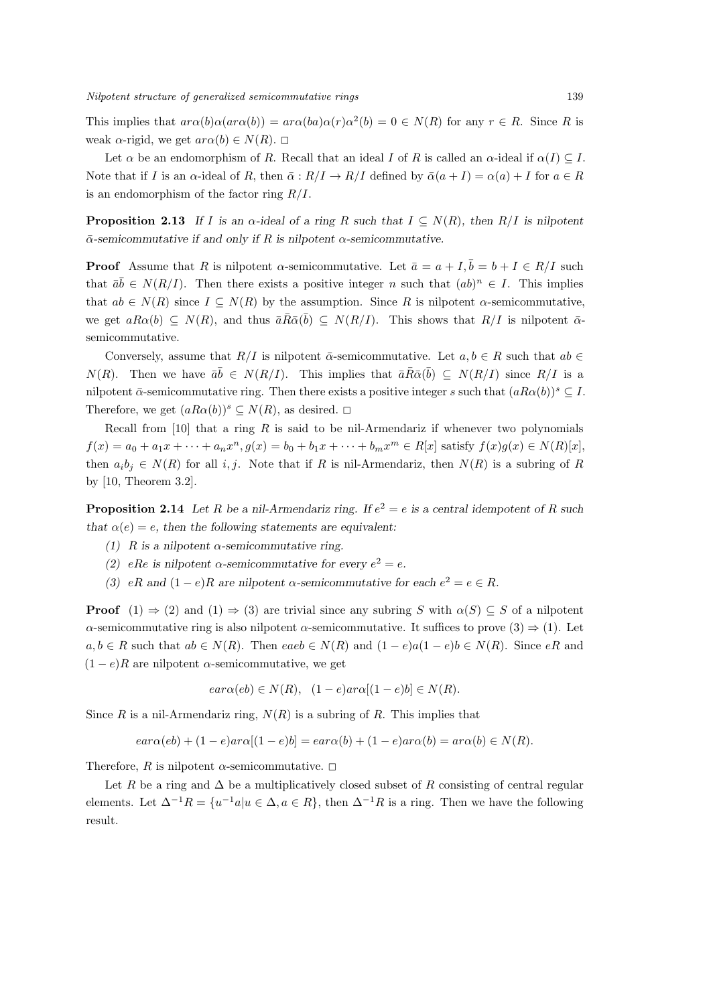This implies that  $ar\alpha(b)\alpha(ar\alpha(b)) = ar\alpha(ba)\alpha(r)\alpha^2(b) = 0 \in N(R)$  for any  $r \in R$ . Since R is weak  $\alpha$ -rigid, we get  $ar\alpha(b) \in N(R)$ .  $\Box$ 

Let  $\alpha$  be an endomorphism of *R*. Recall that an ideal *I* of *R* is called an  $\alpha$ -ideal if  $\alpha(I) \subseteq I$ . Note that if *I* is an *α*-ideal of *R*, then  $\bar{\alpha}: R/I \to R/I$  defined by  $\bar{\alpha}(a+I) = \alpha(a) + I$  for  $a \in R$ is an endomorphism of the factor ring *R/I*.

**Proposition 2.13** If *I* is an  $\alpha$ -ideal of a ring *R* such that  $I \subseteq N(R)$ , then  $R/I$  is nilpotent *α*¯*-semicommutative if and only if R is nilpotent α-semicommutative.*

**Proof** Assume that *R* is nilpotent *α*-semicommutative. Let  $\bar{a} = a + I$ ,  $\bar{b} = b + I \in R/I$  such that  $\bar{a}\bar{b} \in N(R/I)$ . Then there exists a positive integer *n* such that  $(ab)^n \in I$ . This implies that  $ab \in N(R)$  since  $I \subseteq N(R)$  by the assumption. Since R is nilpotent *α*-semicommutative, we get  $aRa(b) \subseteq N(R)$ , and thus  $\overline{a}\overline{R}\overline{a}(\overline{b}) \subseteq N(R/I)$ . This shows that  $R/I$  is nilpotent  $\overline{a}$ semicommutative.

Conversely, assume that  $R/I$  is nilpotent  $\bar{\alpha}$ -semicommutative. Let  $a, b \in R$  such that  $ab \in R$ *N*(*R*). Then we have  $\bar{a}\bar{b} \in N(R/I)$ . This implies that  $\bar{a}\bar{R}\bar{\alpha}(\bar{b}) \subseteq N(R/I)$  since  $R/I$  is a nilpotent  $\bar{\alpha}$ -semicommutative ring. Then there exists a positive integer *s* such that  $(aRa\alpha(b))^s \subseteq I$ . Therefore, we get  $(aRa(b))^s \subseteq N(R)$ , as desired.  $\square$ 

Recall from [10] that a ring *R* is said to be nil-Armendariz if whenever two polynomials  $f(x) = a_0 + a_1x + \dots + a_nx^n$ ,  $g(x) = b_0 + b_1x + \dots + b_mx^m \in R[x]$  satisfy  $f(x)g(x) \in N(R)[x]$ , then  $a_i b_j \in N(R)$  for all *i, j*. Note that if *R* is nil-Armendariz, then  $N(R)$  is a subring of *R* by [10, Theorem 3.2].

**Proposition 2.14** Let *R* be a nil-Armendariz ring. If  $e^2 = e$  is a central idempotent of *R* such *that*  $\alpha(e) = e$ , then the following statements are equivalent:

- *(1)*  $R$  *is a nilpotent*  $\alpha$ -semicommutative ring.
- *(2) eRe* is nilpotent *α*-semicommutative for every  $e^2 = e$ .
- *(3) eR* and  $(1-e)R$  are nilpotent  $\alpha$ -semicommutative for each  $e^2 = e \in R$ .

**Proof**  $(1) \Rightarrow (2)$  and  $(1) \Rightarrow (3)$  are trivial since any subring *S* with  $\alpha(S) \subseteq S$  of a nilpotent *α*-semicommutative ring is also nilpotent *α*-semicommutative. It suffices to prove  $(3) \Rightarrow (1)$ . Let  $a, b \in R$  such that  $ab \in N(R)$ . Then each  $\in N(R)$  and  $(1-e)a(1-e)b \in N(R)$ . Since eR and  $(1 - e)R$  are nilpotent  $\alpha$ -semicommutative, we get

$$
ear\alpha(eb) \in N(R), (1-e)ar\alpha[(1-e)b] \in N(R).
$$

Since *R* is a nil-Armendariz ring,  $N(R)$  is a subring of *R*. This implies that

$$
ear\alpha(eb) + (1 - e)ar\alpha[(1 - e)b] = ear\alpha(b) + (1 - e)ar\alpha(b) = ara(b) \in N(R).
$$

Therefore, *R* is nilpotent  $\alpha$ -semicommutative.  $\square$ 

Let *R* be a ring and  $\Delta$  be a multiplicatively closed subset of *R* consisting of central regular elements. Let  $\Delta^{-1}R = \{u^{-1}a | u \in \Delta, a \in R\}$ , then  $\Delta^{-1}R$  is a ring. Then we have the following result.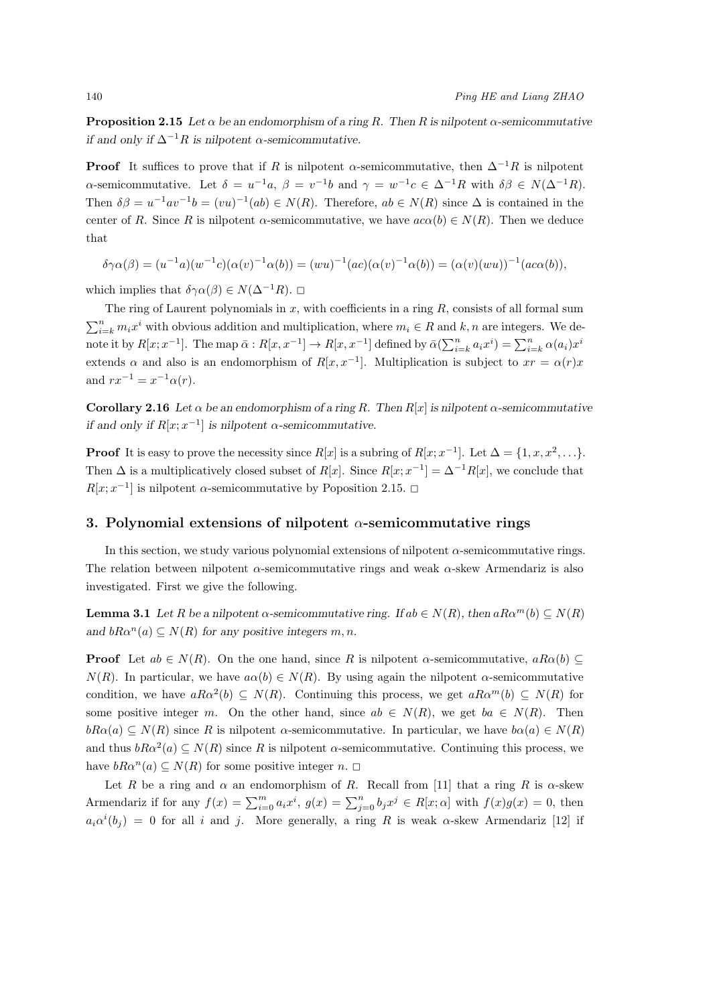**Proposition 2.15** *Let*  $\alpha$  *be an endomorphism of a ring*  $R$ *. Then*  $R$  *is nilpotent*  $\alpha$ *-semicommutative if and only if*  $\Delta^{-1}R$  *is nilpotent*  $\alpha$ -semicommutative.

**Proof** It suffices to prove that if *R* is nilpotent *α*-semicommutative, then  $\Delta^{-1}R$  is nilpotent  $\alpha$ -semicommutative. Let  $\delta = u^{-1}a$ ,  $\beta = v^{-1}b$  and  $\gamma = w^{-1}c \in \Delta^{-1}R$  with  $\delta \beta \in N(\Delta^{-1}R)$ . Then  $\delta\beta = u^{-1}av^{-1}b = (vu)^{-1}(ab) \in N(R)$ . Therefore,  $ab \in N(R)$  since  $\Delta$  is contained in the center of *R*. Since *R* is nilpotent *α*-semicommutative, we have  $ac\alpha(b) \in N(R)$ . Then we deduce that

 $\delta \gamma \alpha(\beta) = (u^{-1}a)(w^{-1}c)(\alpha(v)^{-1}\alpha(b)) = (wu)^{-1}(ac)(\alpha(v)^{-1}\alpha(b)) = (\alpha(v)(wu))^{-1}(ac\alpha(b)),$ 

which implies that  $\delta \gamma \alpha(\beta) \in N(\Delta^{-1}R)$ .  $\Box$ 

The ring of Laurent polynomials in *x*, with coefficients in a ring *R*, consists of all formal sum  $\sum_{i=k}^{n} m_i x^i$  with obvious addition and multiplication, where  $m_i \in R$  and  $k, n$  are integers. We denote it by  $R[x; x^{-1}]$ . The map  $\bar{\alpha}: R[x, x^{-1}] \to R[x, x^{-1}]$  defined by  $\bar{\alpha}(\sum_{i=k}^{n} a_i x^i) = \sum_{i=k}^{n} \alpha(a_i) x^i$ extends  $\alpha$  and also is an endomorphism of  $R[x, x^{-1}]$ . Multiplication is subject to  $xr = \alpha(r)x$ and  $rx^{-1} = x^{-1} \alpha(r)$ .

**Corollary 2.16** *Let*  $\alpha$  *be an endomorphism of a ring R. Then*  $R[x]$  *is nilpotent*  $\alpha$ -semicommutative *if and only if*  $R[x; x^{-1}]$  *is nilpotent*  $\alpha$ -semicommutative.

**Proof** It is easy to prove the necessity since  $R[x]$  is a subring of  $R[x; x^{-1}]$ . Let  $\Delta = \{1, x, x^2, \ldots\}$ . Then  $\Delta$  is a multiplicatively closed subset of *R*[*x*]. Since  $R[x; x^{-1}] = \Delta^{-1}R[x]$ , we conclude that  $R[x; x^{-1}]$  is nilpotent *α*-semicommutative by Poposition 2.15.  $\Box$ 

#### **3. Polynomial extensions of nilpotent** *α***-semicommutative rings**

In this section, we study various polynomial extensions of nilpotent *α*-semicommutative rings. The relation between nilpotent *α*-semicommutative rings and weak *α*-skew Armendariz is also investigated. First we give the following.

**Lemma 3.1** *Let R be a nilpotent*  $\alpha$ -semicommutative ring. If  $ab \in N(R)$ , then  $aR\alpha^{m}(b) \subseteq N(R)$ *and*  $bR\alpha^n(a) \subseteq N(R)$  *for any positive integers m, n.* 

**Proof** Let  $ab \in N(R)$ . On the one hand, since *R* is nilpotent *α*-semicommutative,  $aR\alpha(b) \subseteq$  $N(R)$ . In particular, we have  $a\alpha(b) \in N(R)$ . By using again the nilpotent *α*-semicommutative condition, we have  $aRa^2(b) \subseteq N(R)$ . Continuing this process, we get  $aRa^m(b) \subseteq N(R)$  for some positive integer *m*. On the other hand, since  $ab \in N(R)$ , we get  $ba \in N(R)$ . Then  $bRa(a) \subseteq N(R)$  since *R* is nilpotent *α*-semicommutative. In particular, we have  $b\alpha(a) \in N(R)$ and thus  $bRa^2(a) \subseteq N(R)$  since R is nilpotent  $\alpha$ -semicommutative. Continuing this process, we have  $bR\alpha^n(a) \subseteq N(R)$  for some positive integer *n*.  $\square$ 

Let *R* be a ring and  $\alpha$  an endomorphism of *R*. Recall from [11] that a ring *R* is  $\alpha$ -skew Armendariz if for any  $f(x) = \sum_{i=0}^{m} a_i x^i$ ,  $g(x) = \sum_{j=0}^{n} b_j x^j \in R[x; \alpha]$  with  $f(x)g(x) = 0$ , then  $a_i \alpha^i(b_j) = 0$  for all *i* and *j*. More generally, a ring *R* is weak  $\alpha$ -skew Armendariz [12] if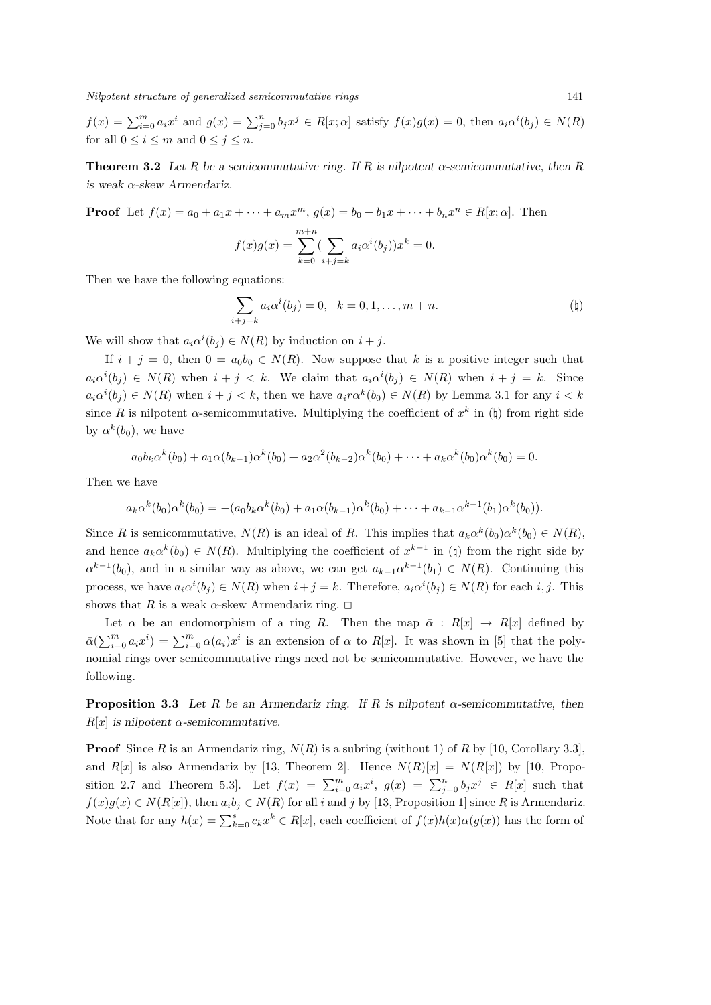*Nilpotent structure of generalized semicommutative rings* 141

 $f(x) = \sum_{i=0}^{m} a_i x^i$  and  $g(x) = \sum_{j=0}^{n} b_j x^j \in R[x; \alpha]$  satisfy  $f(x)g(x) = 0$ , then  $a_i \alpha^i(b_j) \in N(R)$ for all  $0 \leq i \leq m$  and  $0 \leq j \leq n$ .

**Theorem 3.2** Let R be a semicommutative ring. If R is nilpotent  $\alpha$ -semicommutative, then R *is weak α-skew Armendariz.*

**Proof** Let  $f(x) = a_0 + a_1x + \cdots + a_mx^m$ ,  $g(x) = b_0 + b_1x + \cdots + b_nx^n \in R[x; \alpha]$ . Then

$$
f(x)g(x) = \sum_{k=0}^{m+n} (\sum_{i+j=k} a_i \alpha^i(b_j))x^k = 0.
$$

Then we have the following equations:

$$
\sum_{i+j=k} a_i \alpha^i(b_j) = 0, \quad k = 0, 1, \dots, m+n.
$$
 (†)

We will show that  $a_i \alpha^i(b_j) \in N(R)$  by induction on  $i + j$ .

If  $i + j = 0$ , then  $0 = a_0b_0 \in N(R)$ . Now suppose that k is a positive integer such that  $a_i\alpha^i(b_j) \in N(R)$  when  $i + j < k$ . We claim that  $a_i\alpha^i(b_j) \in N(R)$  when  $i + j = k$ . Since  $a_i\alpha^i(b_j) \in N(R)$  when  $i + j < k$ , then we have  $a_i r \alpha^k(b_0) \in N(R)$  by Lemma 3.1 for any  $i < k$ since *R* is nilpotent *α*-semicommutative. Multiplying the coefficient of  $x^k$  in ( $\natural$ ) from right side by  $\alpha^k(b_0)$ , we have

$$
a_0b_k\alpha^k(b_0) + a_1\alpha(b_{k-1})\alpha^k(b_0) + a_2\alpha^2(b_{k-2})\alpha^k(b_0) + \cdots + a_k\alpha^k(b_0)\alpha^k(b_0) = 0.
$$

Then we have

$$
a_k \alpha^k(b_0) \alpha^k(b_0) = -(a_0 b_k \alpha^k(b_0) + a_1 \alpha(b_{k-1}) \alpha^k(b_0) + \cdots + a_{k-1} \alpha^{k-1}(b_1) \alpha^k(b_0)).
$$

Since *R* is semicommutative,  $N(R)$  is an ideal of *R*. This implies that  $a_k \alpha^k(b_0) \alpha^k(b_0) \in N(R)$ , and hence  $a_k \alpha^k(b_0) \in N(R)$ . Multiplying the coefficient of  $x^{k-1}$  in ( $\natural$ ) from the right side by  $\alpha^{k-1}(b_0)$ , and in a similar way as above, we can get  $a_{k-1}\alpha^{k-1}(b_1) \in N(R)$ . Continuing this process, we have  $a_i\alpha^i(b_j) \in N(R)$  when  $i+j=k$ . Therefore,  $a_i\alpha^i(b_j) \in N(R)$  for each i, j. This shows that *R* is a weak  $\alpha$ -skew Armendariz ring.  $\Box$ 

Let  $\alpha$  be an endomorphism of a ring *R*. Then the map  $\bar{\alpha}$  :  $R[x] \rightarrow R[x]$  defined by  $\bar{\alpha}(\sum_{i=0}^{m} a_i x^i) = \sum_{i=0}^{m} \alpha(a_i) x^i$  is an extension of  $\alpha$  to  $R[x]$ . It was shown in [5] that the polynomial rings over semicommutative rings need not be semicommutative. However, we have the following.

**Proposition 3.3** Let  $R$  be an Armendariz ring. If  $R$  is nilpotent  $\alpha$ -semicommutative, then  $R[x]$  *is nilpotent*  $\alpha$ -semicommutative.

**Proof** Since *R* is an Armendariz ring,  $N(R)$  is a subring (without 1) of *R* by [10, Corollary 3.3], and  $R[x]$  is also Armendariz by [13, Theorem 2]. Hence  $N(R)[x] = N(R[x])$  by [10, Proposition 2.7 and Theorem 5.3]. Let  $f(x) = \sum_{i=0}^{m} a_i x^i$ ,  $g(x) = \sum_{j=0}^{n} b_j x^j \in R[x]$  such that  $f(x)g(x) \in N(R[x])$ , then  $a_ib_j \in N(R)$  for all *i* and *j* by [13, Proposition 1] since *R* is Armendariz. Note that for any  $h(x) = \sum_{k=0}^{s} c_k x^k \in R[x]$ , each coefficient of  $f(x)h(x)\alpha(g(x))$  has the form of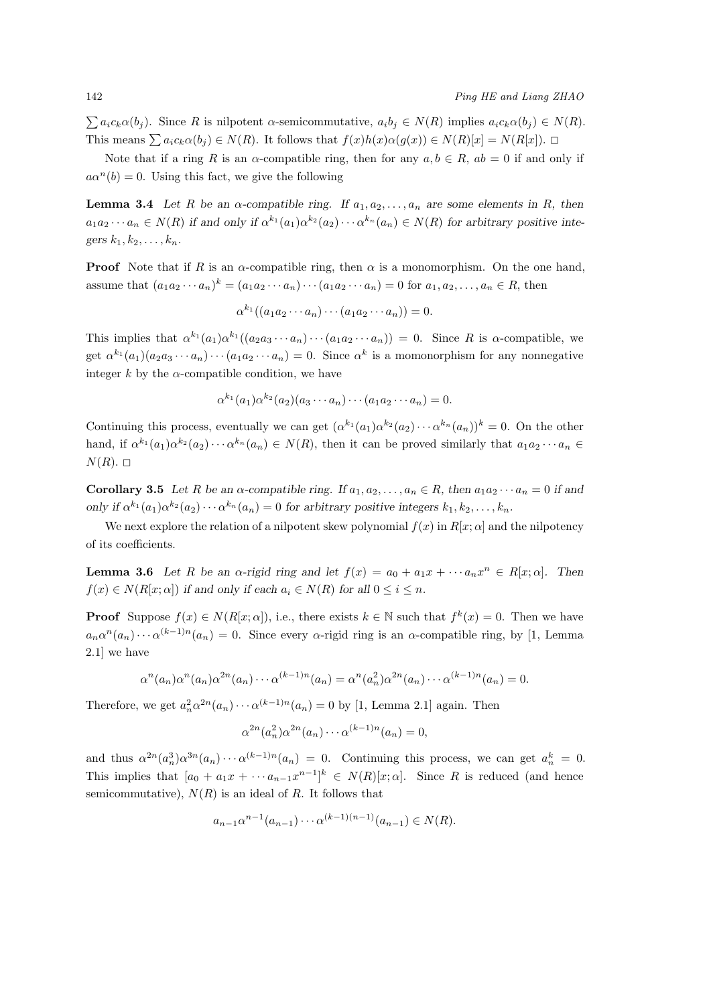$\sum a_i c_k \alpha(b_i)$ . Since R is nilpotent  $\alpha$ -semicommutative,  $a_i b_j \in N(R)$  implies  $a_i c_k \alpha(b_i) \in N(R)$ . This means  $\sum a_i c_k \alpha(b_i) \in N(R)$ . It follows that  $f(x)h(x)\alpha(g(x)) \in N(R)[x] = N(R[x])$ .  $\Box$ 

Note that if a ring *R* is an *α*-compatible ring, then for any  $a, b \in R$ ,  $ab = 0$  if and only if  $a\alpha^n(b) = 0$ . Using this fact, we give the following

**Lemma 3.4** *Let R be an*  $\alpha$ -compatible ring. If  $a_1, a_2, \ldots, a_n$  are some elements in *R, then*  $a_1a_2\cdots a_n \in N(R)$  if and only if  $\alpha^{k_1}(a_1)\alpha^{k_2}(a_2)\cdots \alpha^{k_n}(a_n) \in N(R)$  for arbitrary positive inte*gers*  $k_1, k_2, \ldots, k_n$ *.* 

**Proof** Note that if *R* is an *α*-compatible ring, then  $\alpha$  is a monomorphism. On the one hand, assume that  $(a_1a_2\cdots a_n)^k = (a_1a_2\cdots a_n)\cdots (a_1a_2\cdots a_n) = 0$  for  $a_1, a_2, \ldots, a_n \in R$ , then

$$
\alpha^{k_1}((a_1a_2\cdots a_n)\cdots(a_1a_2\cdots a_n))=0.
$$

This implies that  $\alpha^{k_1}(a_1)\alpha^{k_1}((a_2a_3\cdots a_n)\cdots(a_1a_2\cdots a_n)) = 0$ . Since R is  $\alpha$ -compatible, we get  $\alpha^{k_1}(a_1)(a_2a_3\cdots a_n)\cdots(a_1a_2\cdots a_n)=0$ . Since  $\alpha^k$  is a momonorphism for any nonnegative integer  $k$  by the  $\alpha$ -compatible condition, we have

$$
\alpha^{k_1}(a_1)\alpha^{k_2}(a_2)(a_3\cdots a_n)\cdots(a_1a_2\cdots a_n)=0.
$$

Continuing this process, eventually we can get  $(\alpha^{k_1}(a_1)\alpha^{k_2}(a_2)\cdots \alpha^{k_n}(a_n))^k = 0$ . On the other hand, if  $\alpha^{k_1}(a_1)\alpha^{k_2}(a_2)\cdots \alpha^{k_n}(a_n) \in N(R)$ , then it can be proved similarly that  $a_1a_2\cdots a_n \in$  $N(R)$ .  $\square$ 

**Corollary 3.5** Let R be an  $\alpha$ -compatible ring. If  $a_1, a_2, \ldots, a_n \in R$ , then  $a_1 a_2 \cdots a_n = 0$  if and only if  $\alpha^{k_1}(a_1)\alpha^{k_2}(a_2)\cdots \alpha^{k_n}(a_n) = 0$  for arbitrary positive integers  $k_1, k_2, \ldots, k_n$ .

We next explore the relation of a nilpotent skew polynomial  $f(x)$  in  $R[x; \alpha]$  and the nilpotency of its coefficients.

**Lemma 3.6** Let R be an  $\alpha$ -rigid ring and let  $f(x) = a_0 + a_1x + \cdots + a_nx^n \in R[x; \alpha]$ . Then  $f(x) \in N(R[x; \alpha])$  *if and only if each*  $a_i \in N(R)$  *for all*  $0 \le i \le n$ *.* 

**Proof** Suppose  $f(x) \in N(R[x; \alpha])$ , i.e., there exists  $k \in \mathbb{N}$  such that  $f^k(x) = 0$ . Then we have  $a_n a^n(a_n) \cdots a^{(k-1)n}(a_n) = 0$ . Since every *α*-rigid ring is an *α*-compatible ring, by [1, Lemma 2.1] we have

$$
\alpha^n(a_n)\alpha^n(a_n)\alpha^{2n}(a_n)\cdots\alpha^{(k-1)n}(a_n)=\alpha^n(a_n^2)\alpha^{2n}(a_n)\cdots\alpha^{(k-1)n}(a_n)=0.
$$

Therefore, we get  $a_n^2 \alpha^{2n}(a_n) \cdots \alpha^{(k-1)n}(a_n) = 0$  by [1, Lemma 2.1] again. Then

$$
\alpha^{2n}(a_n^2)\alpha^{2n}(a_n)\cdots\alpha^{(k-1)n}(a_n)=0,
$$

and thus  $\alpha^{2n}(a_n^3)\alpha^{3n}(a_n)\cdots\alpha^{(k-1)n}(a_n) = 0$ . Continuing this process, we can get  $a_n^k = 0$ . This implies that  $[a_0 + a_1x + \cdots a_{n-1}x^{n-1}]^k \in N(R)[x; \alpha]$ . Since *R* is reduced (and hence semicommutative),  $N(R)$  is an ideal of R. It follows that

$$
a_{n-1}\alpha^{n-1}(a_{n-1})\cdots \alpha^{(k-1)(n-1)}(a_{n-1}) \in N(R).
$$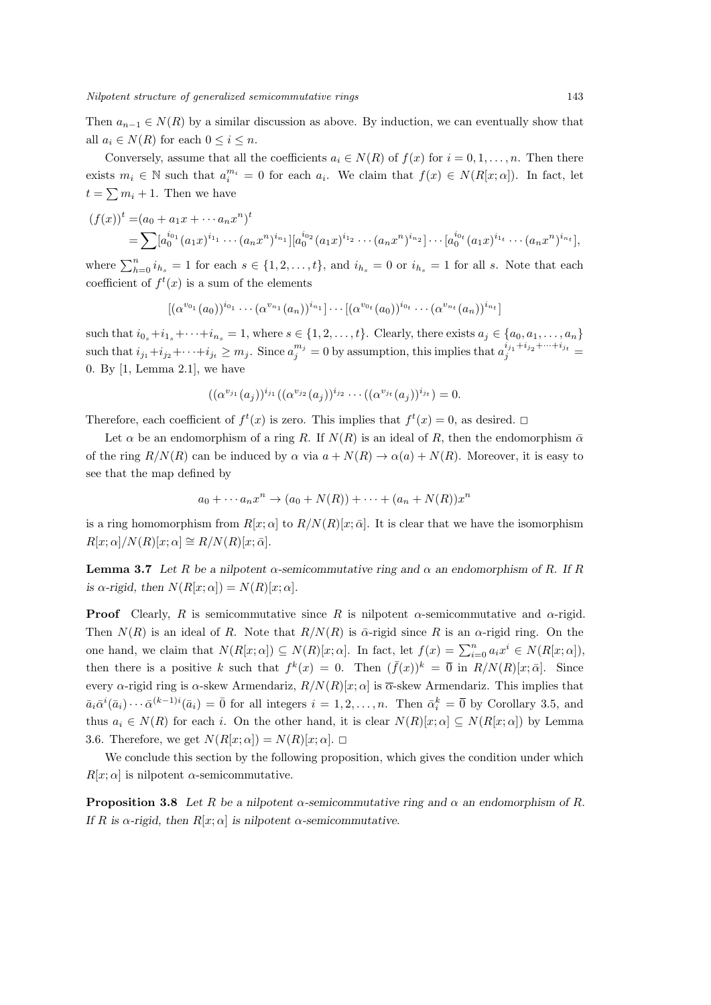Then  $a_{n-1} \in N(R)$  by a similar discussion as above. By induction, we can eventually show that all  $a_i \in N(R)$  for each  $0 \leq i \leq n$ .

Conversely, assume that all the coefficients  $a_i \in N(R)$  of  $f(x)$  for  $i = 0, 1, \ldots, n$ . Then there exists  $m_i \in \mathbb{N}$  such that  $a_i^{m_i} = 0$  for each  $a_i$ . We claim that  $f(x) \in N(R[x; \alpha])$ . In fact, let  $t = \sum m_i + 1$ . Then we have

$$
(f(x))^{t} = (a_0 + a_1x + \cdots + a_nx^n)^{t}
$$
  
= 
$$
\sum [a_0^{i_{0_1}}(a_1x)^{i_{1_1}}\cdots(a_nx^n)^{i_{n_1}}][a_0^{i_{0_2}}(a_1x)^{i_{1_2}}\cdots(a_nx^n)^{i_{n_2}}]\cdots[a_0^{i_{0_t}}(a_1x)^{i_{1_t}}\cdots(a_nx^n)^{i_{n_t}}],
$$

where  $\sum_{h=0}^{n} i_{h_s} = 1$  for each  $s \in \{1, 2, \ldots, t\}$ , and  $i_{h_s} = 0$  or  $i_{h_s} = 1$  for all *s*. Note that each coefficient of  $f^t(x)$  is a sum of the elements

$$
[(\alpha^{v_{0_1}}(a_0))^{i_{0_1}}\cdots(\alpha^{v_{n_1}}(a_n))^{i_{n_1}}]\cdots[(\alpha^{v_{0_t}}(a_0))^{i_{0_t}}\cdots(\alpha^{v_{n_t}}(a_n))^{i_{n_t}}]
$$

such that  $i_{0_s}+i_{1_s}+\cdots+i_{n_s}=1$ , where  $s\in\{1,2,\ldots,t\}$ . Clearly, there exists  $a_j\in\{a_0,a_1,\ldots,a_n\}$ such that  $i_{j_1}+i_{j_2}+\cdots+i_{j_t}\geq m_j$ . Since  $a_j^{m_j}=0$  by assumption, this implies that  $a_j^{i_{j_1}+i_{j_2}+\cdots+i_{j_t}}=$ 0. By [1, Lemma 2.1], we have

$$
((\alpha^{v_{j_1}}(a_j))^{i_{j_1}}((\alpha^{v_{j_2}}(a_j))^{i_{j_2}}\cdots((\alpha^{v_{j_t}}(a_j))^{i_{j_t}})=0.
$$

Therefore, each coefficient of  $f^t(x)$  is zero. This implies that  $f^t(x) = 0$ , as desired.  $\Box$ 

Let  $\alpha$  be an endomorphism of a ring *R*. If  $N(R)$  is an ideal of *R*, then the endomorphism  $\bar{\alpha}$ of the ring  $R/N(R)$  can be induced by  $\alpha$  via  $a + N(R) \to \alpha(a) + N(R)$ . Moreover, it is easy to see that the map defined by

$$
a_0 + \cdots + a_n x^n \to (a_0 + N(R)) + \cdots + (a_n + N(R))x^n
$$

is a ring homomorphism from  $R[x; \alpha]$  to  $R/N(R)[x; \bar{\alpha}]$ . It is clear that we have the isomorphism  $R[x; \alpha]/N(R)[x; \alpha] \cong R/N(R)[x; \bar{\alpha}].$ 

**Lemma 3.7** *Let R be a nilpotent*  $\alpha$ -semicommutative ring and  $\alpha$  an endomorphism of R. If *R*  $\alpha$ *-rigid, then*  $N(R[x; \alpha]) = N(R)[x; \alpha]$ .

**Proof** Clearly, *R* is semicommutative since *R* is nilpotent  $\alpha$ -semicommutative and  $\alpha$ -rigid. Then  $N(R)$  is an ideal of R. Note that  $R/N(R)$  is  $\bar{\alpha}$ -rigid since R is an  $\alpha$ -rigid ring. On the one hand, we claim that  $N(R[x;\alpha]) \subseteq N(R)[x;\alpha]$ . In fact, let  $f(x) = \sum_{i=0}^{n} a_i x^i \in N(R[x;\alpha])$ , then there is a positive *k* such that  $f^k(x) = 0$ . Then  $(\bar{f}(x))^k = \bar{0}$  in  $R/N(R)[x; \bar{\alpha}]$ . Since every *α*-rigid ring is *α*-skew Armendariz,  $R/N(R)[x; \alpha]$  is  $\overline{\alpha}$ -skew Armendariz. This implies that  $\bar{a}_i\bar{\alpha}^i(\bar{a}_i)\cdots\bar{\alpha}^{(k-1)i}(\bar{a}_i)=\bar{0}$  for all integers  $i=1,2,\ldots,n$ . Then  $\bar{\alpha}_i^k=\bar{0}$  by Corollary 3.5, and thus  $a_i \in N(R)$  for each *i*. On the other hand, it is clear  $N(R)[x; \alpha] \subseteq N(R[x; \alpha])$  by Lemma 3.6. Therefore, we get  $N(R[x; \alpha]) = N(R)[x; \alpha]$ .

We conclude this section by the following proposition, which gives the condition under which  $R[x; \alpha]$  is nilpotent  $\alpha$ -semicommutative.

**Proposition 3.8** *Let R be a nilpotent*  $\alpha$ -semicommutative ring and  $\alpha$  an endomorphism of *R*. *If R* is *α*-rigid, then  $R[x; \alpha]$  *is nilpotent α*-semicommutative.